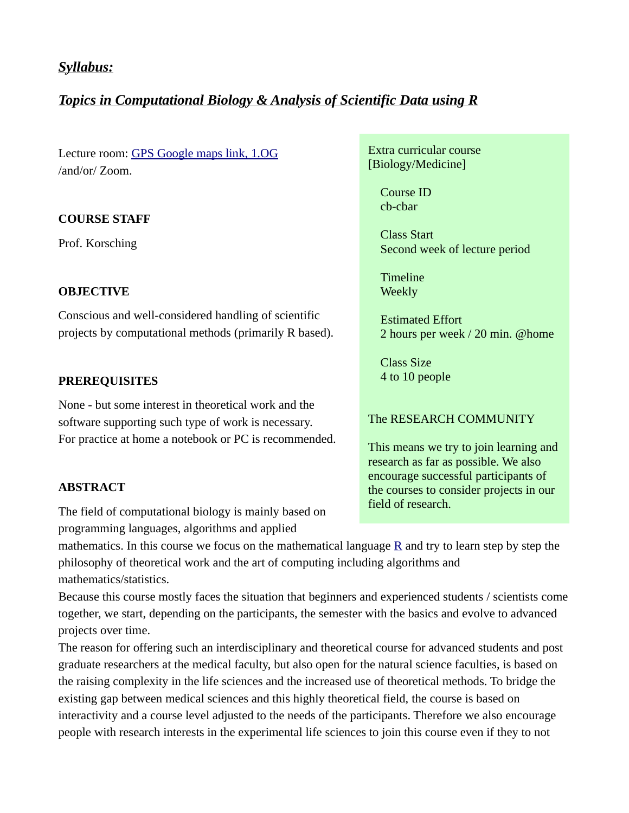## Syllabus:

# *Topics in Computational Biology & Analysis of Scientific Data using R*

Lecture room: GPS Google maps link, 1.OG /and/or/ Zoom.

#### **COURSE STAFF**

Prof. Korsching

#### **OBJECTIVE**

Conscious and well-considered handling of scientific projects by computational methods (primarily R based).

#### **PREREQUISITES**

None - but some interest in theoretical work and the software supporting such type of work is necessary. For practice at home a notebook or PC is recommended.

#### **ABSTRACT**

The field of computational biology is mainly based on programming languages, algorithms and applied

Extra curricular course [Biology/Medicine]

> Course ID cb-cbar

 Class Start Second week of lecture period

 Timeline **Weekly** 

 Estimated Effort 2 hours per week / 20 min. @home

 Class Size 4 to 10 people

## The RESEARCH COMMUNITY

This means we try to join learning and research as far as possible. We also encourage successful participants of the courses to consider projects in our field of research.

mathematics. In this course we focus on the mathematical language  $\underline{R}$  and try to learn step by step the philosophy of theoretical work and the art of computing including algorithms and mathematics/statistics.

Because this course mostly faces the situation that beginners and experienced students / scientists come together, we start, depending on the participants, the semester with the basics and evolve to advanced projects over time.

The reason for offering such an interdisciplinary and theoretical course for advanced students and post graduate researchers at the medical faculty, but also open for the natural science faculties, is based on the raising complexity in the life sciences and the increased use of theoretical methods. To bridge the existing gap between medical sciences and this highly theoretical field, the course is based on interactivity and a course level adjusted to the needs of the participants. Therefore we also encourage people with research interests in the experimental life sciences to join this course even if they to not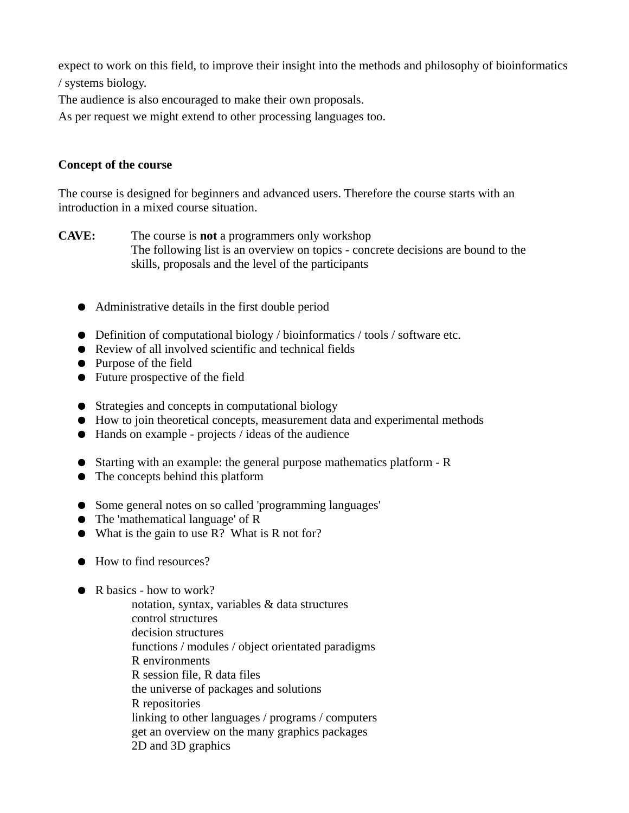expect to work on this field, to improve their insight into the methods and philosophy of bioinformatics / systems biology.

The audience is also encouraged to make their own proposals.

As per request we might extend to other processing languages too.

### **Concept of the course**

The course is designed for beginners and advanced users. Therefore the course starts with an introduction in a mixed course situation.

**CAVE:** The course is **not** a programmers only workshop The following list is an overview on topics - concrete decisions are bound to the skills, proposals and the level of the participants

- Administrative details in the first double period
- Definition of computational biology / bioinformatics / tools / software etc.
- Review of all involved scientific and technical fields
- Purpose of the field
- Future prospective of the field
- Strategies and concepts in computational biology
- How to join theoretical concepts, measurement data and experimental methods
- Hands on example projects / ideas of the audience
- Starting with an example: the general purpose mathematics platform R
- The concepts behind this platform
- Some general notes on so called 'programming languages'
- The 'mathematical language' of R
- What is the gain to use R? What is R not for?
- How to find resources?
- R basics how to work?
	- notation, syntax, variables & data structures control structures decision structures functions / modules / object orientated paradigms R environments R session file, R data files the universe of packages and solutions R repositories linking to other languages / programs / computers get an overview on the many graphics packages 2D and 3D graphics